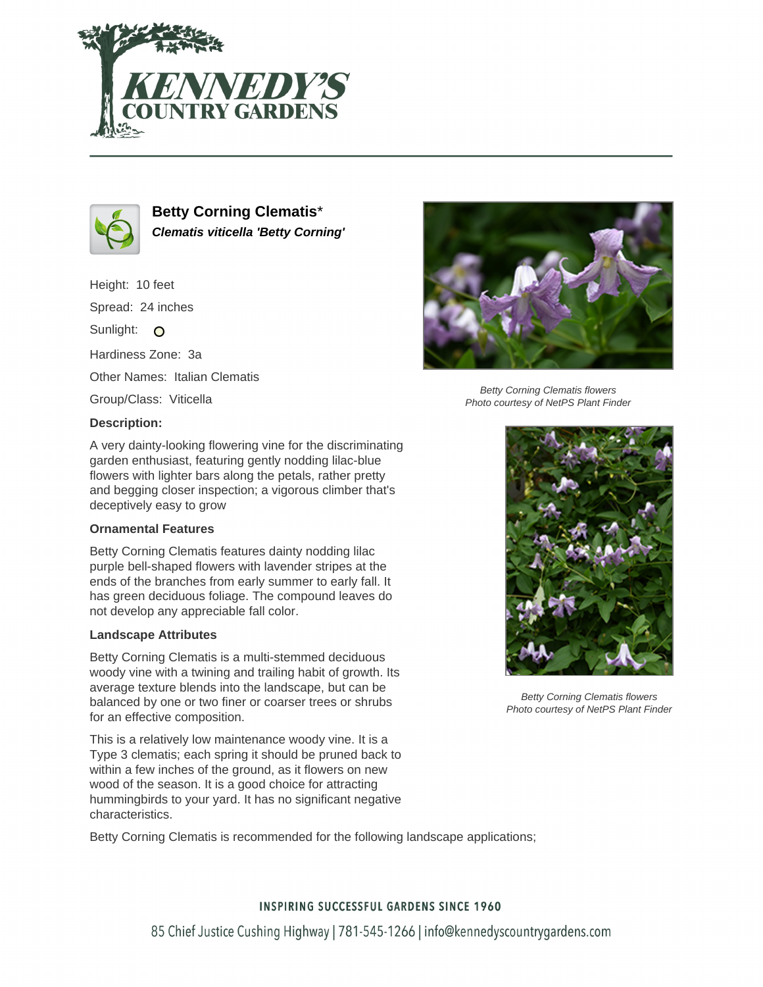



**Betty Corning Clematis**\* **Clematis viticella 'Betty Corning'**

Height: 10 feet Spread: 24 inches Sunlight: O Hardiness Zone: 3a Other Names: Italian Clematis Group/Class: Viticella **Description:**

Betty Corning Clematis flowers Photo courtesy of NetPS Plant Finder

A very dainty-looking flowering vine for the discriminating garden enthusiast, featuring gently nodding lilac-blue flowers with lighter bars along the petals, rather pretty and begging closer inspection; a vigorous climber that's deceptively easy to grow

### **Ornamental Features**

Betty Corning Clematis features dainty nodding lilac purple bell-shaped flowers with lavender stripes at the ends of the branches from early summer to early fall. It has green deciduous foliage. The compound leaves do not develop any appreciable fall color.

### **Landscape Attributes**

Betty Corning Clematis is a multi-stemmed deciduous woody vine with a twining and trailing habit of growth. Its average texture blends into the landscape, but can be balanced by one or two finer or coarser trees or shrubs for an effective composition.

This is a relatively low maintenance woody vine. It is a Type 3 clematis; each spring it should be pruned back to within a few inches of the ground, as it flowers on new wood of the season. It is a good choice for attracting hummingbirds to your yard. It has no significant negative characteristics.

Betty Corning Clematis is recommended for the following landscape applications;



Betty Corning Clematis flowers Photo courtesy of NetPS Plant Finder

# **INSPIRING SUCCESSFUL GARDENS SINCE 1960**

85 Chief Justice Cushing Highway | 781-545-1266 | info@kennedyscountrygardens.com